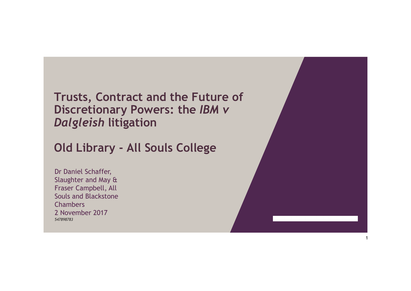## **Trusts, Contract and the Future of Discretionary Powers: the** *IBM v Dalgleish* **litigation**

## **Old Library - All Souls College**

Dr Daniel Schaffer, Slaughter and May & Fraser Campbell, All Souls and Blackstone **Chambers** 2 November 2017 *547898783*

/

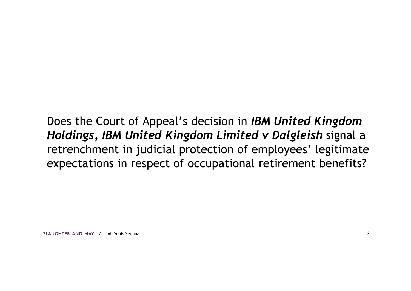Does the Court of Appeal's decision in *IBM United Kingdom Holdings, IBM United Kingdom Limited v Dalgleish* signal a retrenchment in judicial protection of employees' legitimate expectations in respect of occupational retirement benefits?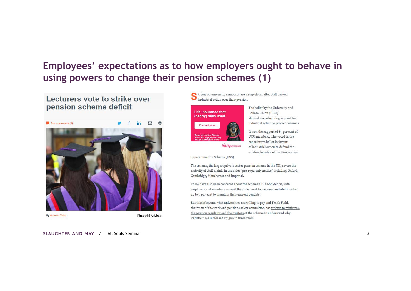## **Employees' expectations as to how employers ought to behave in using powers to change their pension schemes (1)**

#### Lecturers vote to strike over pension scheme deficit



**By Aamina Zafar** 

**Financial Adviser** 

SLAUGHTER AND MAY / All Souls Seminar All Souls Seminar 3

trikes on university campuses are a step closer after staff backed industrial action over their pension.



The ballot by the University and College Union (UCU) showed overwhelming support for industrial action to protect pensions.

It won the support of 87 per cent of UCU members, who voted in the consultative ballot in favour of industrial action to defend the existing benefits of the Universities

Superannuation Scheme (USS).

The scheme, the largest private sector pension scheme in the UK, covers the majority of staff mainly in the older "pre-1992 universities" including Oxford, Cambridge, Manchester and Imperial.

There have also been concerns about the scheme's £12.6bn deficit, with employers and members warned they may need to increase contributions by up to 7 per cent to maintain their current benefits.

But this is beyond what universities are willing to pay and Frank Field, chairman of the work and pensions select committee, has written to ministers, the pension regulator and the trustees of the scheme to understand why its deficit has increased  $E$ 7.3bn in three years.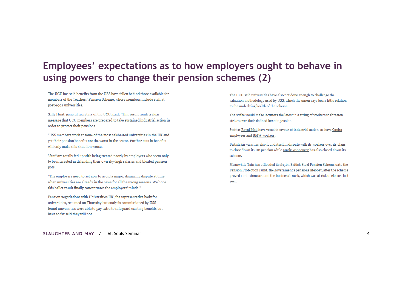## **Employees' expectations as to how employers ought to behave in using powers to change their pension schemes (2)**

The UCU has said benefits from the USS have fallen behind those available for members of the Teachers' Pension Scheme, whose members include staff at post-1992 universities.

Sally Hunt, general secretary of the UCU, said: "This result sends a clear message that UCU members are prepared to take sustained industrial action in order to protect their pensions.

"USS members work at some of the most celebrated universities in the UK and vet their pension benefits are the worst in the sector. Further cuts in benefits will only make this situation worse.

"Staff are totally fed up with being treated poorly by employers who seem only to be interested in defending their own sky-high salaries and bloated pension pots.

"The employers need to act now to avoid a major, damaging dispute at time when universities are already in the news for all the wrong reasons. We hope this ballot result finally concentrates the employers' minds."

Pension negotiations with Universities UK, the representative body for universities, resumed on Thursday but analysis commissioned by USS found universities were able to pay extra to safeguard existing benefits but have so far said they will not.

The UCU said universities have also not done enough to challenge the valuation methodology used by USS, which the union says bears little relation to the underlying health of the scheme.

The strike would make lecturers the latest in a string of workers to threaten strikes over their defined benefit pension.

Staff at Royal Mail have voted in favour of industrial action, as have Capita employees and BMW workers.

British Airways has also found itself in dispute with its workers over its plans to close down its DB pension while Marks & Spencer has also closed down its scheme.

Meanwhile Tata has offloaded its £15bn British Steel Pension Scheme onto the Pension Protection Fund, the government's pensions lifeboat, after the scheme proved a millstone around the business's neck, which was at risk of closure last year.

SLAUGHTER AND MAY / All Souls Seminar 4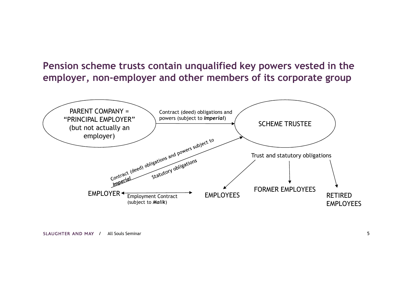## **Pension scheme trusts contain unqualified key powers vested in the employer, non-employer and other members of its corporate group**

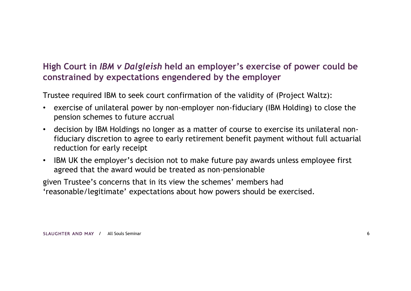Trustee required IBM to seek court confirmation of the validity of (Project Waltz):

- exercise of unilateral power by non-employer non-fiduciary (IBM Holding) to close the pension schemes to future accrual
- decision by IBM Holdings no longer as a matter of course to exercise its unilateral nonfiduciary discretion to agree to early retirement benefit payment without full actuarial reduction for early receipt
- IBM UK the employer's decision not to make future pay awards unless employee first agreed that the award would be treated as non-pensionable

given Trustee's concerns that in its view the schemes' members had 'reasonable/legitimate' expectations about how powers should be exercised.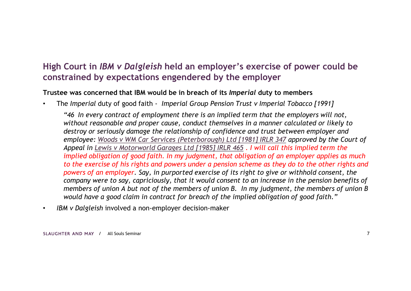#### **Trustee was concerned that IBM would be in breach of its** *Imperial* **duty to members**

- The *Imperial* duty of good faith *Imperial Group Pension Trust v Imperial Tobacco [1991]*
	- *"46 In every contract of employment there is an implied term that the employers will not, without reasonable and proper cause, conduct themselves in a manner calculated or likely to destroy or seriously damage the relationship of confidence and trust between employer and employee: Woods v WM Car Services (Peterborough) Ltd [1981] IRLR 347 approved by the Court of Appeal in Lewis v Motorworld Garages Ltd [1985] IRLR 465 . I will call this implied term the implied obligation of good faith. In my judgment, that obligation of an employer applies as much to the exercise of his rights and powers under a pension scheme as they do to the other rights and powers of an employer. Say, in purported exercise of its right to give or withhold consent, the company were to say, capriciously, that it would consent to an increase in the pension benefits of members of union A but not of the members of union B. In my judgment, the members of union B would have a good claim in contract for breach of the implied obligation of good faith."*
- *IBM v Dalgleish* involved a non-employer decision-maker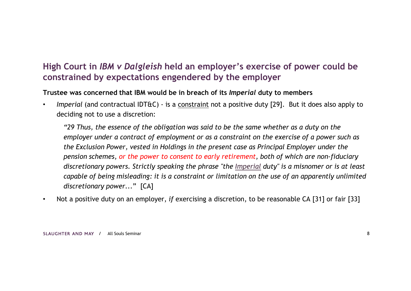**Trustee was concerned that IBM would be in breach of its** *Imperial* **duty to members**

• *Imperial* (and contractual IDT&C) - is a constraint not a positive duty [29]. But it does also apply to deciding not to use a discretion:

*"29 Thus, the essence of the obligation was said to be the same whether as a duty on the employer under a contract of employment or as a constraint on the exercise of a power such as the Exclusion Power, vested in Holdings in the present case as Principal Employer under the pension schemes, or the power to consent to early retirement, both of which are non-fiduciary discretionary powers. Strictly speaking the phrase "the Imperial duty" is a misnomer or is at least capable of being misleading: it is a constraint or limitation on the use of an apparently unlimited discretionary power...*" [CA]

• Not a positive duty on an employer, *if* exercising a discretion, to be reasonable CA [31] or fair [33]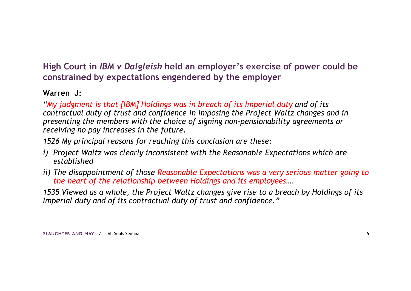#### **Warren J:**

*"My judgment is that [IBM] Holdings was in breach of its Imperial duty and of its contractual duty of trust and confidence in imposing the Project Waltz changes and in presenting the members with the choice of signing non-pensionability agreements or receiving no pay increases in the future.*

*1526 My principal reasons for reaching this conclusion are these:* 

- *i) Project Waltz was clearly inconsistent with the Reasonable Expectations which are established*
- *ii) The disappointment of those Reasonable Expectations was a very serious matter going to the heart of the relationship between Holdings and its employees….*

*1535 Viewed as a whole, the Project Waltz changes give rise to a breach by Holdings of its Imperial duty and of its contractual duty of trust and confidence."*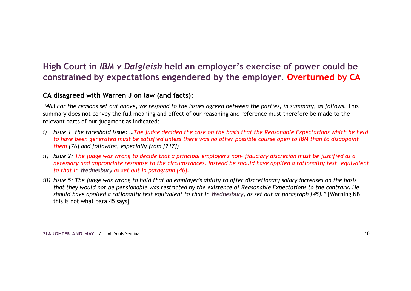#### **CA disagreed with Warren J on law (and facts):**

*"463 For the reasons set out above, we respond to the Issues agreed between the parties, in summary, as follows.* This summary does not convey the full meaning and effect of our reasoning and reference must therefore be made to the relevant parts of our judgment as indicated:

- *i) Issue 1, the threshold issue: …The judge decided the case on the basis that the Reasonable Expectations which he held to have been generated must be satisfied unless there was no other possible course open to IBM than to disappoint them [76] and following, especially from [217])*
- *ii) Issue 2: The judge was wrong to decide that a principal employer's non- fiduciary discretion must be justified as a necessary and appropriate response to the circumstances. Instead he should have applied a rationality test, equivalent to that in Wednesbury as set out in paragraph [46].*
- *iii) Issue 5: The judge was wrong to hold that an employer's ability to offer discretionary salary increases on the basis that they would not be pensionable was restricted by the existence of Reasonable Expectations to the contrary. He should have applied a rationality test equivalent to that in Wednesbury, as set out at paragraph [45]."* [Warning NB this is not what para 45 says]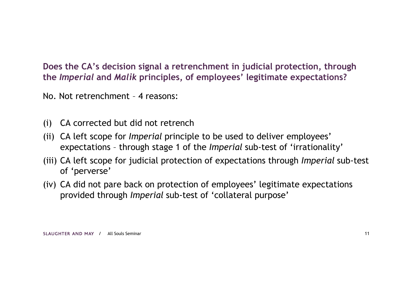**Does the CA's decision signal a retrenchment in judicial protection, through the** *Imperial* **and** *Malik* **principles, of employees' legitimate expectations?**

No. Not retrenchment – 4 reasons:

- (i) CA corrected but did not retrench
- (ii) CA left scope for *Imperial* principle to be used to deliver employees' expectations – through stage 1 of the *Imperial* sub-test of 'irrationality'
- (iii) CA left scope for judicial protection of expectations through *Imperial* sub-test of 'perverse'
- (iv) CA did not pare back on protection of employees' legitimate expectations provided through *Imperial* sub-test of 'collateral purpose'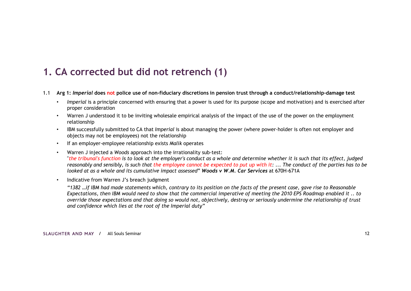## **1. CA corrected but did not retrench (1)**

- 1.1 **Arg 1:** *Imperial* **does not police use of non-fiduciary discretions in pension trust through a conduct/relationship-damage test**
	- *Imperial* is a principle concerned with ensuring that a power is used for its purpose (scope and motivation) and is exercised after proper consideration
	- Warren J understood it to be inviting wholesale empirical analysis of the impact of the use of the power on the employment relationship
	- IBM successfully submitted to CA that *Imperial* is about managing the power (where power-holder is often not employer and objects may not be employees) not the relationship
	- If an employer-employee relationship exists *Malik* operates
	- Warren J injected a *Woods* approach into the irrationality sub-test: "*the tribunal's function is to look at the employer's conduct as a whole and determine whether it is such that its effect, judged reasonably and sensibly, is such that the employee cannot be expected to put up with it:* ... *The conduct of the parties has to be looked at as a whole and its cumulative impact assessed*" *Woods v W.M. Car Services* at 670H-671A
	- Indicative from Warren J's breach judgment

*"1382 …if IBM had made statements which, contrary to its position on the facts of the present case, gave rise to Reasonable Expectations, then IBM would need to show that the commercial imperative of meeting the 2010 EPS Roadmap enabled it .. to override those expectations and that doing so would not, objectively, destroy or seriously undermine the relationship of trust and confidence which lies at the root of the Imperial duty"*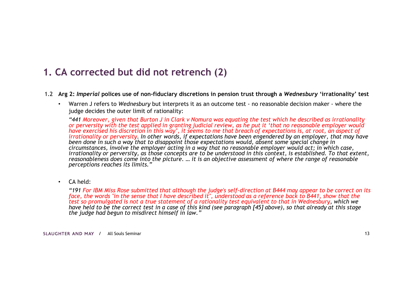## **1. CA corrected but did not retrench (2)**

- 1.2 **Arg 2:** *Imperial* **polices use of non-fiduciary discretions in pension trust through a** *Wednesbury* **'irrationality' test**
	- Warren J refers to *Wednesbury* but interprets it as an outcome test no reasonable decision maker where the judge decides the outer limit of rationality:

*"441 Moreover, given that Burton J in Clark v Nomura was equating the test which he described as irrationality or perversity with the test applied in granting judicial review, as he put it 'that no reasonable employer would have exercised his discretion in this way', it seems to me that breach of expectations is, at root, an aspect of irrationality or perversity. In other words, if expectations have been engendered by an employer, that may have been done in such a way that to disappoint those expectations would, absent some special change in circumstances, involve the employer acting in a way that no reasonable employer would act; in which case, irrationality or perversity, as those concepts are to be understood in this context, is established. To that extent, reasonableness does come into the picture. … it is an objective assessment of where the range of reasonable perceptions reaches its limits."*

• CA held:

*"191 For IBM Miss Rose submitted that although the judge's self-direction at B444 may appear to be correct on its face, the words "in the sense that I have described it", understood as a reference back to B441, show that the test so promulgated is not a true statement of a rationality test equivalent to that in Wednesbury, which we have held to be the correct test in a case of this kind (see paragraph [45] above), so that already at this stage the judge had begun to misdirect himself in law."*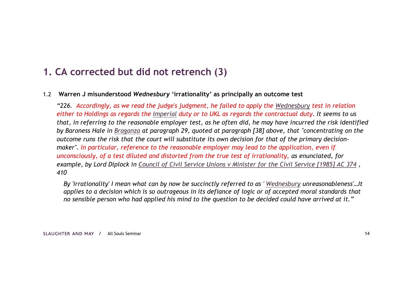## **1. CA corrected but did not retrench (3)**

#### 1.2 **Warren J misunderstood** *Wednesbury* **'irrationality' as principally an outcome test**

*"226. Accordingly, as we read the judge's judgment, he failed to apply the Wednesbury test in relation either to Holdings as regards the Imperial duty or to UKL as regards the contractual duty. It seems to us that, in referring to the reasonable employer test, as he often did, he may have incurred the risk identified by Baroness Hale in Braganza at paragraph 29, quoted at paragraph [38] above, that "concentrating on the outcome runs the risk that the court will substitute its own decision for that of the primary decisionmaker". In particular, reference to the reasonable employer may lead to the application, even if unconsciously, of a test diluted and distorted from the true test of irrationality, as enunciated, for example, by Lord Diplock in Council of Civil Service Unions v Minister for the Civil Service [1985] AC 374 , 410*

*By 'irrationality' I mean what can by now be succinctly referred to as ' Wednesbury unreasonableness'…It applies to a decision which is so outrageous in its defiance of logic or of accepted moral standards that no sensible person who had applied his mind to the question to be decided could have arrived at it."*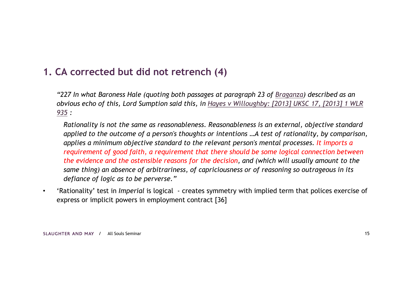## **1. CA corrected but did not retrench (4)**

*"227 In what Baroness Hale (quoting both passages at paragraph 23 of Braganza) described as an obvious echo of this, Lord Sumption said this, in Hayes v Willoughby: [2013] UKSC 17, [2013] 1 WLR 935 :* 

*Rationality is not the same as reasonableness. Reasonableness is an external, objective standard applied to the outcome of a person's thoughts or intentions …A test of rationality, by comparison, applies a minimum objective standard to the relevant person's mental processes. It imports a requirement of good faith, a requirement that there should be some logical connection between the evidence and the ostensible reasons for the decision, and (which will usually amount to the same thing) an absence of arbitrariness, of capriciousness or of reasoning so outrageous in its defiance of logic as to be perverse."*

• 'Rationality' test in *Imperial* is logical - creates symmetry with implied term that polices exercise of express or implicit powers in employment contract [36]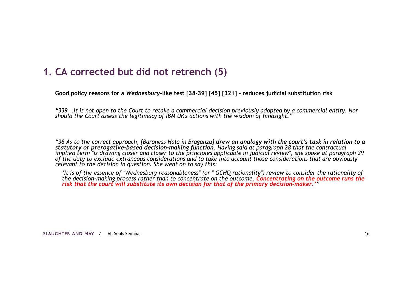## **1. CA corrected but did not retrench (5)**

**Good policy reasons for a** *Wednesbury***-like test [38-39] [45] [321] – reduces judicial substitution risk**

*"339 ..it is not open to the Court to retake a commercial decision previously adopted by a commercial entity. Nor should the Court assess the legitimacy of IBM UK's actions with the wisdom of hindsight."* 

*"38 As to the correct approach, [Baroness Hale in Braganza] drew an analogy with the court's task in relation to a statutory or prerogative-based decision-making function. Having said at paragraph 28 that the contractual implied term "is drawing closer and closer to the principles applicable in judicial review", she spoke at paragraph 29 of the duty to exclude extraneous considerations and to take into account those considerations that are obviously relevant to the decision in question. She went on to say this:*

*'It is of the essence of "Wednesbury reasonableness" (or " GCHQ rationality") review to consider the rationality of the decision-making process rather than to concentrate on the outcome. Concentrating on the outcome runs the risk that the court will substitute its own decision for that of the primary decision-maker.'"*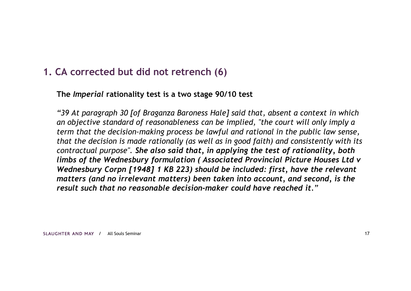### **1. CA corrected but did not retrench (6)**

#### **The** *Imperial* **rationality test is a two stage 90/10 test**

*"39 At paragraph 30 [of Braganza Baroness Hale] said that, absent a context in which an objective standard of reasonableness can be implied, "the court will only imply a term that the decision-making process be lawful and rational in the public law sense, that the decision is made rationally (as well as in good faith) and consistently with its contractual purpose". She also said that, in applying the test of rationality, both limbs of the Wednesbury formulation ( Associated Provincial Picture Houses Ltd v Wednesbury Corpn [1948] 1 KB 223) should be included: first, have the relevant matters (and no irrelevant matters) been taken into account, and second, is the result such that no reasonable decision-maker could have reached it."*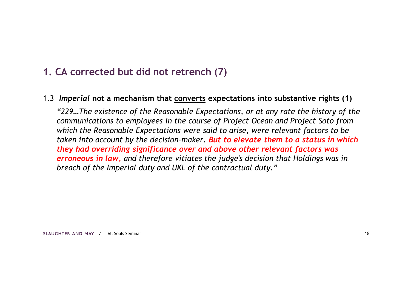## **1. CA corrected but did not retrench (7)**

#### 1.3 *Imperial* **not a mechanism that converts expectations into substantive rights (1)**

*"229…The existence of the Reasonable Expectations, or at any rate the history of the communications to employees in the course of Project Ocean and Project Soto from which the Reasonable Expectations were said to arise, were relevant factors to be taken into account by the decision-maker. But to elevate them to a status in which they had overriding significance over and above other relevant factors was erroneous in law, and therefore vitiates the judge's decision that Holdings was in breach of the Imperial duty and UKL of the contractual duty."*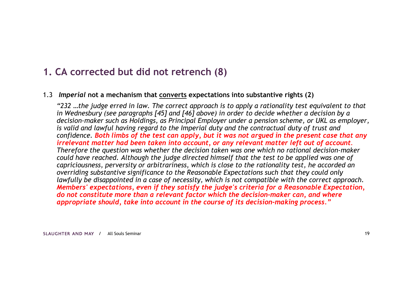## **1. CA corrected but did not retrench (8)**

#### 1.3 *Imperial* **not a mechanism that converts expectations into substantive rights (2)**

*"232 …the judge erred in law. The correct approach is to apply a rationality test equivalent to that in Wednesbury (see paragraphs [45] and [46] above) in order to decide whether a decision by a decision-maker such as Holdings, as Principal Employer under a pension scheme, or UKL as employer, is valid and lawful having regard to the Imperial duty and the contractual duty of trust and confidence. Both limbs of the test can apply, but it was not argued in the present case that any irrelevant matter had been taken into account, or any relevant matter left out of account. Therefore the question was whether the decision taken was one which no rational decision-maker could have reached. Although the judge directed himself that the test to be applied was one of capriciousness, perversity or arbitrariness, which is close to the rationality test, he accorded an overriding substantive significance to the Reasonable Expectations such that they could only lawfully be disappointed in a case of necessity, which is not compatible with the correct approach. Members' expectations, even if they satisfy the judge's criteria for a Reasonable Expectation, do not constitute more than a relevant factor which the decision-maker can, and where appropriate should, take into account in the course of its decision-making process."*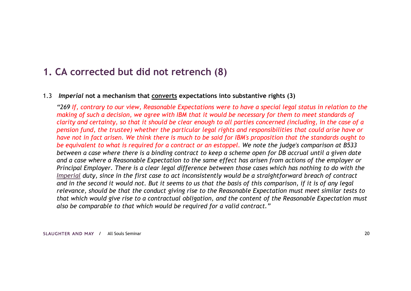### **1. CA corrected but did not retrench (8)**

#### 1.3 *Imperial* **not a mechanism that converts expectations into substantive rights (3)**

*"269 If, contrary to our view, Reasonable Expectations were to have a special legal status in relation to the making of such a decision, we agree with IBM that it would be necessary for them to meet standards of clarity and certainty, so that it should be clear enough to all parties concerned (including, in the case of a pension fund, the trustee) whether the particular legal rights and responsibilities that could arise have or have not in fact arisen. We think there is much to be said for IBM's proposition that the standards ought to be equivalent to what is required for a contract or an estoppel. We note the judge's comparison at B533 between a case where there is a binding contract to keep a scheme open for DB accrual until a given date and a case where a Reasonable Expectation to the same effect has arisen from actions of the employer or Principal Employer. There is a clear legal difference between those cases which has nothing to do with the Imperial duty, since in the first case to act inconsistently would be a straightforward breach of contract and in the second it would not. But it seems to us that the basis of this comparison, if it is of any legal relevance, should be that the conduct giving rise to the Reasonable Expectation must meet similar tests to that which would give rise to a contractual obligation, and the content of the Reasonable Expectation must also be comparable to that which would be required for a valid contract."*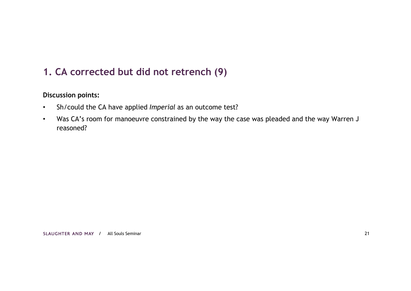## **1. CA corrected but did not retrench (9)**

#### **Discussion points:**

- Sh/could the CA have applied *Imperial* as an outcome test?
- Was CA's room for manoeuvre constrained by the way the case was pleaded and the way Warren J reasoned?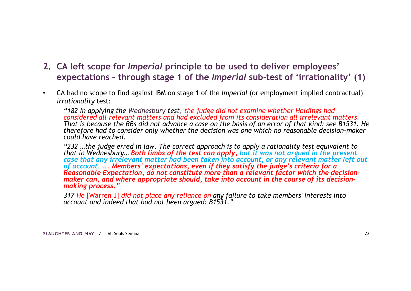- **2. CA left scope for** *Imperial* **principle to be used to deliver employees' expectations – through stage 1 of the** *Imperial* **sub-test of 'irrationality' (1)**
- CA had no scope to find against IBM on stage 1 of the *Imperial* (or employment implied contractual) *irrationality* test:

*"182 In applying the Wednesbury test, the judge did not examine whether Holdings had considered all relevant matters and had excluded from its consideration all irrelevant matters. That is because the RBs did not advance a case on the basis of an error of that kind: see B1531. He therefore had to consider only whether the decision was one which no reasonable decision-maker could have reached.*

*"232 …the judge erred in law. The correct approach is to apply a rationality test equivalent to that in Wednesbury… Both limbs of the test can apply, but it was not argued in the present case that any irrelevant matter had been taken into account, or any relevant matter left out of account. ... Members' expectations, even if they satisfy the judge's criteria for a Reasonable Expectation, do not constitute more than a relevant factor which the decision*maker can, and where appropriate should, take into account in the course of its decision*making process."* 

*317 He* [Warren J] *did not place any reliance on any failure to take members' interests into account and indeed that had not been argued: B1531."*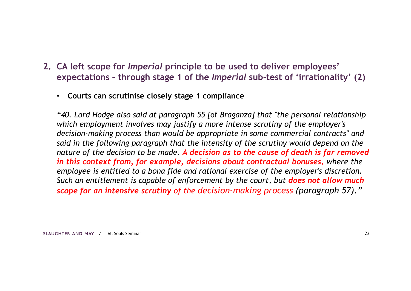- **2. CA left scope for** *Imperial* **principle to be used to deliver employees' expectations – through stage 1 of the** *Imperial* **sub-test of 'irrationality' (2)**
	- **Courts can scrutinise closely stage 1 compliance**

*"40. Lord Hodge also said at paragraph 55 [*of *Braganza] that "the personal relationship which employment involves may justify a more intense scrutiny of the employer's decision-making process than would be appropriate in some commercial contracts" and said in the following paragraph that the intensity of the scrutiny would depend on the nature of the decision to be made. A decision as to the cause of death is far removed in this context from, for example, decisions about contractual bonuses, where the employee is entitled to a bona fide and rational exercise of the employer's discretion. Such an entitlement is capable of enforcement by the court, but does not allow much scope for an intensive scrutiny of the decision-making process (paragraph 57)."*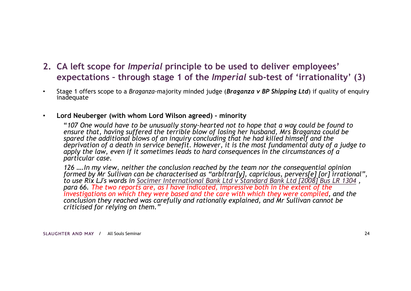- **2. CA left scope for** *Imperial* **principle to be used to deliver employees' expectations – through stage 1 of the** *Imperial* **sub-test of 'irrationality' (3)**
- Stage 1 offers scope to a *Braganza*-majority minded judge (*Braganza v BP Shipping Ltd*) if quality of enquiry inadequate
- **Lord Neuberger (with whom Lord Wilson agreed) - minority**

"*107 One would have to be unusually stony-hearted not to hope that a way could be found to ensure that, having suffered the terrible blow of losing her husband, Mrs Braganza could be spared the additional blows of an inquiry concluding that he had killed himself and the deprivation of a death in service benefit. However, it is the most fundamental duty of a judge to apply the law, even if it sometimes leads to hard consequences in the circumstances of a particular case.*

*126 ….In my view, neither the conclusion reached by the team nor the consequential opinion formed by Mr Sullivan can be characterised as "arbitrar[y], capricious, pervers[e] [or] irrational", to use Rix LJ's words in Socimer International Bank Ltd v Standard Bank Ltd [2008] Bus LR 1304 , para 66. The two reports are, as I have indicated, impressive both in the extent of the investigations on which they were based and the care with which they were compiled, and the conclusion they reached was carefully and rationally explained, and Mr Sullivan cannot be criticised for relying on them."*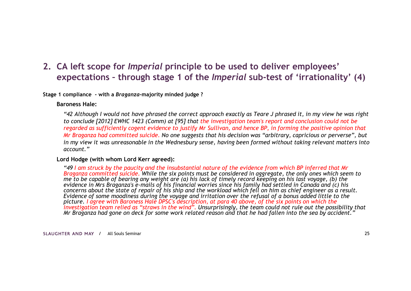### **2. CA left scope for** *Imperial* **principle to be used to deliver employees' expectations – through stage 1 of the** *Imperial* **sub-test of 'irrationality' (4)**

**Stage 1 compliance - with a** *Braganza***-majority minded judge ?**

#### **Baroness Hale:**

*"42 Although I would not have phrased the correct approach exactly as Teare J phrased it, in my view he was right to conclude [2012] EWHC 1423 (Comm) at [95] that the investigation team's report and conclusion could not be regarded as sufficiently cogent evidence to justify Mr Sullivan, and hence BP, in forming the positive opinion that Mr Braganza had committed suicide. No one suggests that his decision was "arbitrary, capricious or perverse", but in my view it was unreasonable in the Wednesbury sense, having been formed without taking relevant matters into account."* 

#### **Lord Hodge (with whom Lord Kerr agreed):**

*"49 I am struck by the paucity and the insubstantial nature of the evidence from which BP inferred that Mr Braganza committed suicide. While the six points must be considered in aggregate, the only ones which seem to me to be capable of bearing any weight are (a) his lack of timely record keeping on his last voyage, (b) the evidence in Mrs Braganza's e-mails of his financial worries since his family had settled in Canada and (c) his concerns about the state of repair of his ship and the workload which fell on him as chief engineer as a result. Evidence of some moodiness during the voyage and irritation over the refusal of a bonus added little to the picture. I agree with Baroness Hale DPSC's description, at para 40 above, of the six points on which the investigation team relied as "straws in the wind". Unsurprisingly, the team could not rule out the possibility that Mr Braganza had gone on deck for some work related reason and that he had fallen into the sea by accident."*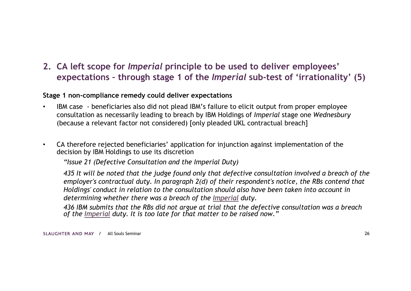### **2. CA left scope for** *Imperial* **principle to be used to deliver employees' expectations – through stage 1 of the** *Imperial* **sub-test of 'irrationality' (5)**

#### **Stage 1 non-compliance remedy could deliver expectations**

- IBM case beneficiaries also did not plead IBM's failure to elicit output from proper employee consultation as necessarily leading to breach by IBM Holdings of *Imperial* stage one *Wednesbury*  (because a relevant factor not considered) [only pleaded UKL contractual breach]
- CA therefore rejected beneficiaries' application for injunction against implementation of the decision by IBM Holdings to use its discretion

*"Issue 21 (Defective Consultation and the Imperial Duty)*

*435 It will be noted that the judge found only that defective consultation involved a breach of the employer's contractual duty. In paragraph 2(d) of their respondent's notice, the RBs contend that Holdings' conduct in relation to the consultation should also have been taken into account in determining whether there was a breach of the Imperial duty.* 

*436 IBM submits that the RBs did not argue at trial that the defective consultation was a breach of the Imperial duty. It is too late for that matter to be raised now."*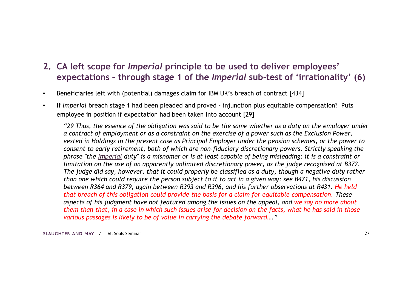- **2. CA left scope for** *Imperial* **principle to be used to deliver employees' expectations – through stage 1 of the** *Imperial* **sub-test of 'irrationality' (6)**
- Beneficiaries left with (potential) damages claim for IBM UK's breach of contract [434]
- If *Imperial* breach stage 1 had been pleaded and proved injunction plus equitable compensation? Puts employee in position if expectation had been taken into account [29]

*"29 Thus, the essence of the obligation was said to be the same whether as a duty on the employer under a contract of employment or as a constraint on the exercise of a power such as the Exclusion Power, vested in Holdings in the present case as Principal Employer under the pension schemes, or the power to consent to early retirement, both of which are non-fiduciary discretionary powers. Strictly speaking the phrase "the Imperial duty" is a misnomer or is at least capable of being misleading: it is a constraint or limitation on the use of an apparently unlimited discretionary power, as the judge recognised at B372. The judge did say, however, that it could properly be classified as a duty, though a negative duty rather than one which could require the person subject to it to act in a given way: see B471, his discussion between R364 and R379, again between R393 and R396, and his further observations at R431. He held that breach of this obligation could provide the basis for a claim for equitable compensation. These aspects of his judgment have not featured among the issues on the appeal, and we say no more about them than that, in a case in which such issues arise for decision on the facts, what he has said in those various passages is likely to be of value in carrying the debate forward…."*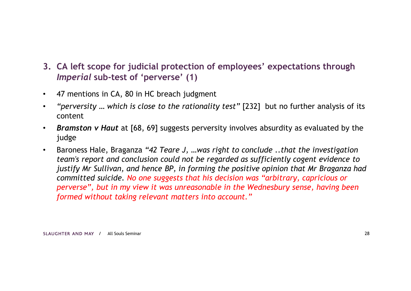- **3. CA left scope for judicial protection of employees' expectations through**  *Imperial* **sub-test of 'perverse' (1)**
- 47 mentions in CA, 80 in HC breach judgment
- *"perversity … which is close to the rationality test"* [232] but no further analysis of its content
- *Bramston v Haut* at [68, 69] suggests perversity involves absurdity as evaluated by the judge
- Baroness Hale, Braganza *"42 Teare J, …was right to conclude ..that the investigation team's report and conclusion could not be regarded as sufficiently cogent evidence to justify Mr Sullivan, and hence BP, in forming the positive opinion that Mr Braganza had committed suicide. No one suggests that his decision was "arbitrary, capricious or perverse", but in my view it was unreasonable in the Wednesbury sense, having been formed without taking relevant matters into account."*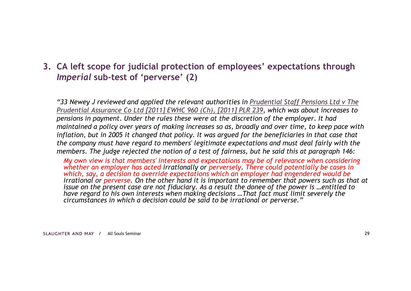**3. CA left scope for judicial protection of employees' expectations through**  *Imperial* **sub-test of 'perverse' (2)**

*"33 Newey J reviewed and applied the relevant authorities in Prudential Staff Pensions Ltd v The Prudential Assurance Co Ltd [2011] EWHC 960 (Ch), [2011] PLR 239, which was about increases to pensions in payment. Under the rules these were at the discretion of the employer. It had maintained a policy over years of making increases so as, broadly and over time, to keep pace with inflation, but in 2005 it changed that policy. It was argued for the beneficiaries in that case that the company must have regard to members' legitimate expectations and must deal fairly with the members. The judge rejected the notion of a test of fairness, but he said this at paragraph 146:* 

*My own view is that members' interests and expectations may be of relevance when considering whether an employer has acted irrationally or perversely. There could potentially be cases in which, say, a decision to override expectations which an employer had engendered would be irrational or perverse. On the other hand it is important to remember that powers such as that at issue on the present case are not fiduciary. As a result the donee of the power is …entitled to have regard to his own interests when making decisions …That fact must limit severely the circumstances in which a decision could be said to be irrational or perverse."*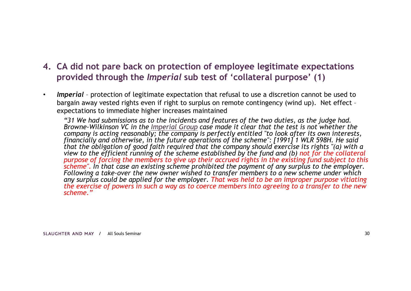### **4. CA did not pare back on protection of employee legitimate expectations provided through the** *Imperial* **sub test of 'collateral purpose' (1)**

• *Imperial* – protection of legitimate expectation that refusal to use a discretion cannot be used to bargain away vested rights even if right to surplus on remote contingency (wind up). Net effect – expectations to immediate higher increases maintained

*"31 We had submissions as to the incidents and features of the two duties, as the judge had. Browne-Wilkinson VC in the Imperial Group case made it clear that the test is not whether the company is acting reasonably; the company is perfectly entitled "to look after its own interests, financially and otherwise, in the future operations of the scheme": [1991] 1 WLR 598H. He said that the obligation of good faith required that the company should exercise its rights "(a) with a view to the efficient running of the scheme established by the fund and (b) not for the collateral purpose of forcing the members to give up their accrued rights in the existing fund subject to this scheme". In that case an existing scheme prohibited the payment of any surplus to the employer. Following a take-over the new owner wished to transfer members to a new scheme under which any surplus could be applied for the employer. That was held to be an improper purpose vitiating the exercise of powers in such a way as to coerce members into agreeing to a transfer to the new scheme."*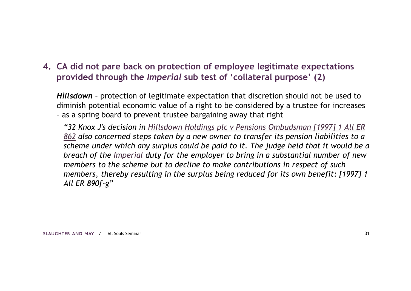### **4. CA did not pare back on protection of employee legitimate expectations provided through the** *Imperial* **sub test of 'collateral purpose' (2)**

*Hillsdown* – protection of legitimate expectation that discretion should not be used to diminish potential economic value of a right to be considered by a trustee for increases – as a spring board to prevent trustee bargaining away that right

*"32 Knox J's decision in Hillsdown Holdings plc v Pensions Ombudsman [1997] 1 All ER 862 also concerned steps taken by a new owner to transfer its pension liabilities to a scheme under which any surplus could be paid to it. The judge held that it would be a breach of the Imperial duty for the employer to bring in a substantial number of new members to the scheme but to decline to make contributions in respect of such members, thereby resulting in the surplus being reduced for its own benefit: [1997] 1 All ER 890f-g"*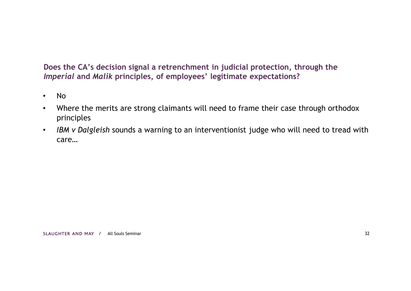#### **Does the CA's decision signal a retrenchment in judicial protection, through the**  *Imperial* **and** *Malik* **principles, of employees' legitimate expectations?**

- No
- Where the merits are strong claimants will need to frame their case through orthodox principles
- *IBM v Dalgleish* sounds a warning to an interventionist judge who will need to tread with care…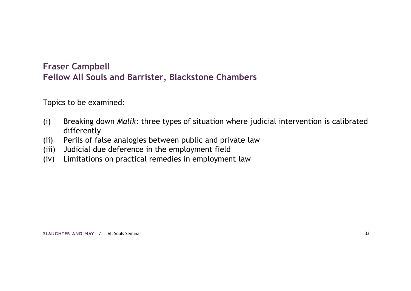### **Fraser Campbell Fellow All Souls and Barrister, Blackstone Chambers**

Topics to be examined:

- (i) Breaking down *Malik*: three types of situation where judicial intervention is calibrated differently
- (ii) Perils of false analogies between public and private law
- (iii) Judicial due deference in the employment field
- (iv) Limitations on practical remedies in employment law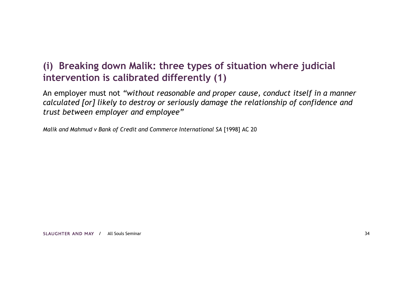## **(i) Breaking down Malik: three types of situation where judicial intervention is calibrated differently (1)**

An employer must not *"without reasonable and proper cause, conduct itself in a manner calculated [or] likely to destroy or seriously damage the relationship of confidence and trust between employer and employee"*

*Malik and Mahmud v Bank of Credit and Commerce International SA [1998] AC 20*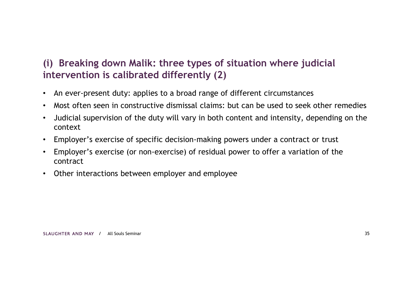## **(i) Breaking down Malik: three types of situation where judicial intervention is calibrated differently (2)**

- An ever-present duty: applies to a broad range of different circumstances
- Most often seen in constructive dismissal claims: but can be used to seek other remedies
- Judicial supervision of the duty will vary in both content and intensity, depending on the context
- Employer's exercise of specific decision-making powers under a contract or trust
- Employer's exercise (or non-exercise) of residual power to offer a variation of the contract
- Other interactions between employer and employee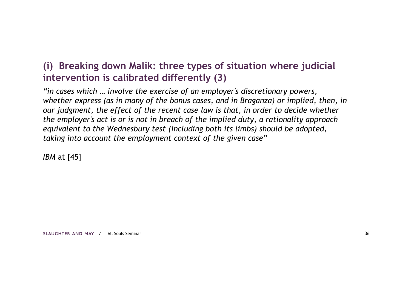## **(i) Breaking down Malik: three types of situation where judicial intervention is calibrated differently (3)**

*"in cases which … involve the exercise of an employer's discretionary powers, whether express (as in many of the bonus cases, and in Braganza) or implied, then, in our judgment, the effect of the recent case law is that, in order to decide whether the employer's act is or is not in breach of the implied duty, a rationality approach equivalent to the Wednesbury test (including both its limbs) should be adopted, taking into account the employment context of the given case"*

*IBM* at [45]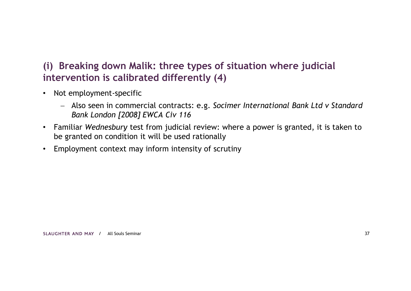## **(i) Breaking down Malik: three types of situation where judicial intervention is calibrated differently (4)**

- Not employment-specific
	- Also seen in commercial contracts: e.g. *Socimer International Bank Ltd v Standard Bank London [2008] EWCA Civ 116*
- Familiar *Wednesbury* test from judicial review: where a power is granted, it is taken to be granted on condition it will be used rationally
- Employment context may inform intensity of scrutiny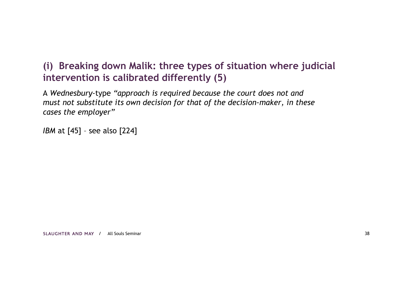## **(i) Breaking down Malik: three types of situation where judicial intervention is calibrated differently (5)**

A *Wednesbury*-type *"approach is required because the court does not and must not substitute its own decision for that of the decision-maker, in these cases the employer"*

*IBM* at [45] - see also [224]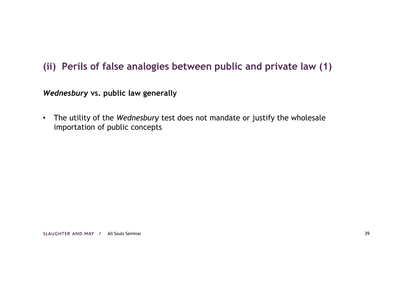## **(ii) Perils of false analogies between public and private law (1)**

*Wednesbury* **vs. public law generally**

• The utility of the *Wednesbury* test does not mandate or justify the wholesale importation of public concepts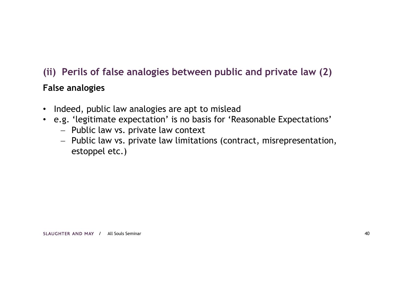# **(ii) Perils of false analogies between public and private law (2)**

### **False analogies**

- Indeed, public law analogies are apt to mislead
- e.g. 'legitimate expectation' is no basis for 'Reasonable Expectations'
	- Public law vs. private law context
	- Public law vs. private law limitations (contract, misrepresentation, estoppel etc.)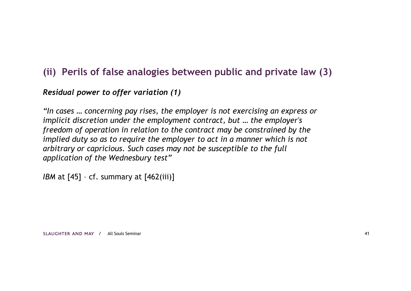## **(ii) Perils of false analogies between public and private law (3)**

#### *Residual power to offer variation (1)*

*"In cases … concerning pay rises, the employer is not exercising an express or implicit discretion under the employment contract, but … the employer's freedom of operation in relation to the contract may be constrained by the implied duty so as to require the employer to act in a manner which is not arbitrary or capricious. Such cases may not be susceptible to the full application of the Wednesbury test"* 

*IBM* at [45] - cf. summary at [462(iii)]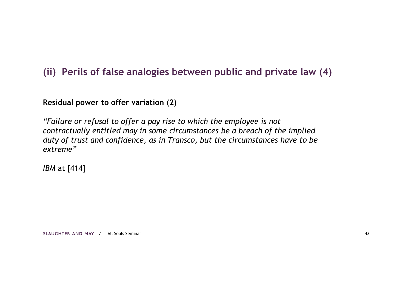## **(ii) Perils of false analogies between public and private law (4)**

**Residual power to offer variation (2)**

*"Failure or refusal to offer a pay rise to which the employee is not contractually entitled may in some circumstances be a breach of the implied duty of trust and confidence, as in Transco, but the circumstances have to be extreme"*

*IBM* at [414]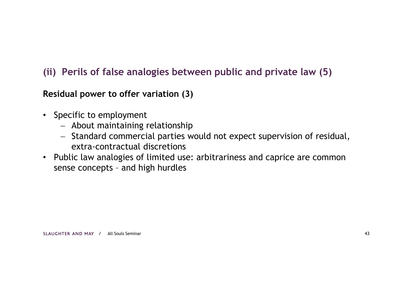## **(ii) Perils of false analogies between public and private law (5)**

**Residual power to offer variation (3)**

- Specific to employment
	- About maintaining relationship
	- Standard commercial parties would not expect supervision of residual, extra-contractual discretions
- Public law analogies of limited use: arbitrariness and caprice are common sense concepts – and high hurdles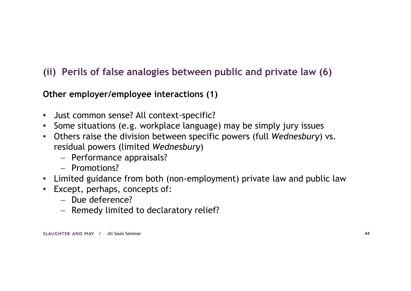## **(ii) Perils of false analogies between public and private law (6)**

**Other employer/employee interactions (1)**

- Just common sense? All context-specific?
- Some situations (e.g. workplace language) may be simply jury issues
- Others raise the division between specific powers (full *Wednesbury*) vs. residual powers (limited *Wednesbury*)
	- Performance appraisals?
	- Promotions?
- Limited guidance from both (non-employment) private law and public law
- Except, perhaps, concepts of:
	- $-$  Due deference?
	- Remedy limited to declaratory relief?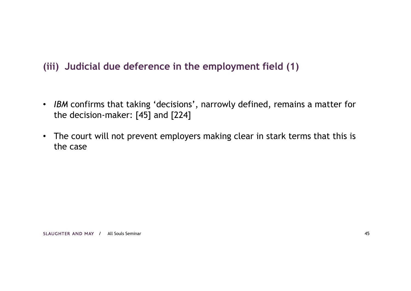## **(iii) Judicial due deference in the employment field (1)**

- *IBM* confirms that taking 'decisions', narrowly defined, remains a matter for the decision-maker: [45] and [224]
- The court will not prevent employers making clear in stark terms that this is the case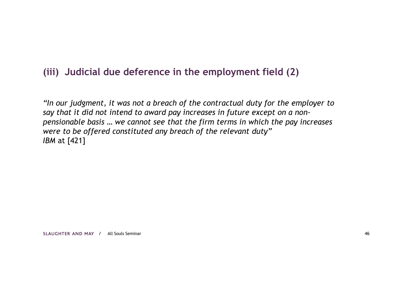## **(iii) Judicial due deference in the employment field (2)**

*"In our judgment, it was not a breach of the contractual duty for the employer to say that it did not intend to award pay increases in future except on a nonpensionable basis … we cannot see that the firm terms in which the pay increases were to be offered constituted any breach of the relevant duty" IBM* at [421]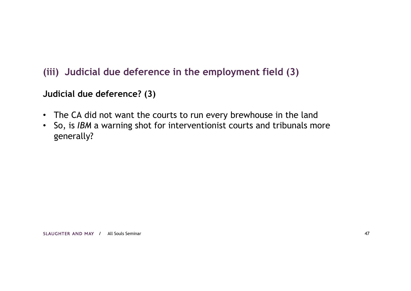## **(iii) Judicial due deference in the employment field (3)**

### **Judicial due deference? (3)**

- The CA did not want the courts to run every brewhouse in the land
- So, is *IBM* a warning shot for interventionist courts and tribunals more generally?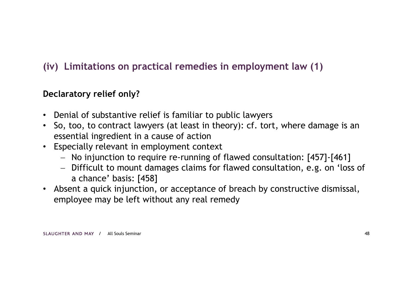## **(iv) Limitations on practical remedies in employment law (1)**

## **Declaratory relief only?**

- Denial of substantive relief is familiar to public lawyers
- So, too, to contract lawyers (at least in theory): cf. tort, where damage is an essential ingredient in a cause of action
- Especially relevant in employment context
	- No injunction to require re-running of flawed consultation: [457]-[461]
	- Difficult to mount damages claims for flawed consultation, e.g. on 'loss of a chance' basis: [458]
- Absent a quick injunction, or acceptance of breach by constructive dismissal, employee may be left without any real remedy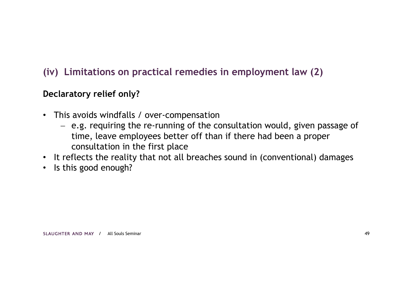## **(iv) Limitations on practical remedies in employment law (2)**

## **Declaratory relief only?**

- This avoids windfalls / over-compensation
	- e.g. requiring the re-running of the consultation would, given passage of time, leave employees better off than if there had been a proper consultation in the first place
- It reflects the reality that not all breaches sound in (conventional) damages
- Is this good enough?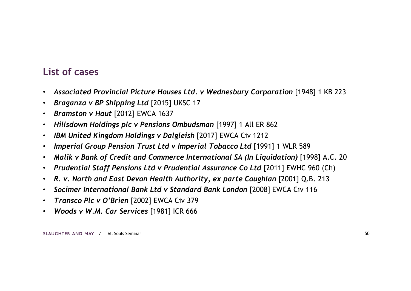## **List of cases**

- Associated Provincial Picture Houses Ltd. v Wednesbury Corporation [1948] 1 KB 223
- *Braganza v BP Shipping Ltd* [2015] UKSC 17
- *Bramston v Haut* [2012] EWCA 1637
- *Hillsdown Holdings plc v Pensions Ombudsman* [1997] 1 All ER 862
- *IBM United Kingdom Holdings v Dalgleish* [2017] EWCA Civ 1212
- *Imperial Group Pension Trust Ltd v Imperial Tobacco Ltd* [1991] 1 WLR 589
- *Malik v Bank of Credit and Commerce International SA (In Liquidation)* [1998] A.C. 20
- *Prudential Staff Pensions Ltd v Prudential Assurance Co Ltd* [2011] EWHC 960 (Ch)
- R. v. North and East Devon Health Authority, ex parte Coughlan [2001] Q.B. 213
- *Socimer International Bank Ltd v Standard Bank London* [2008] EWCA Civ 116
- *Transco Plc v O'Brien* [2002] EWCA Civ 379
- *Woods v W.M. Car Services* [1981] ICR 666